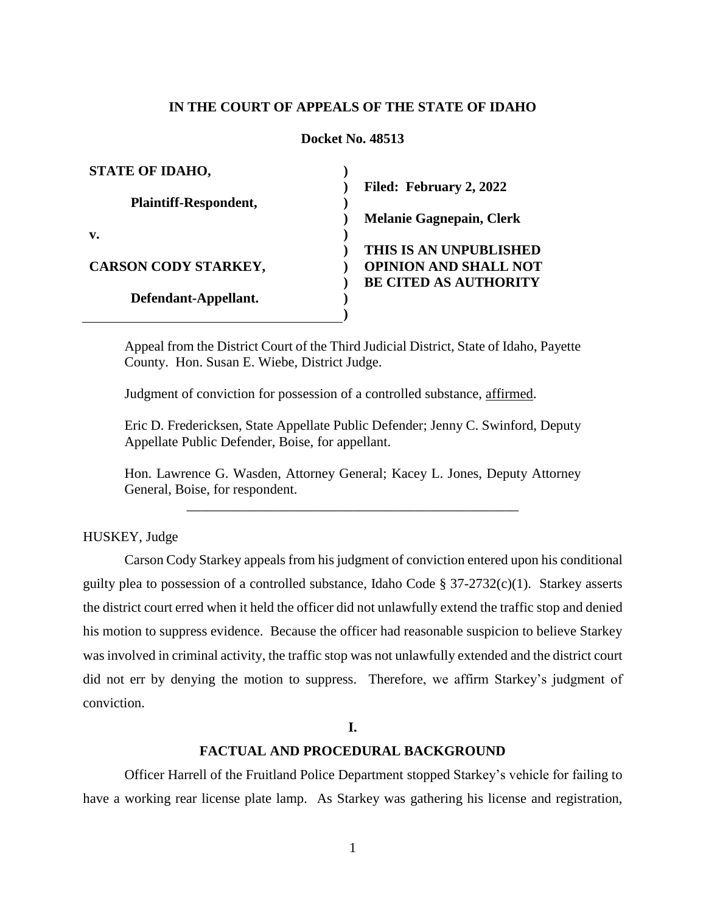# **IN THE COURT OF APPEALS OF THE STATE OF IDAHO**

#### **Docket No. 48513**

| <b>STATE OF IDAHO,</b>       |                                 |
|------------------------------|---------------------------------|
|                              | Filed: February 2, 2022         |
| <b>Plaintiff-Respondent,</b> |                                 |
|                              | <b>Melanie Gagnepain, Clerk</b> |
| v.                           |                                 |
|                              | THIS IS AN UNPUBLISHED          |
| <b>CARSON CODY STARKEY,</b>  | <b>OPINION AND SHALL NOT</b>    |
|                              | <b>BE CITED AS AUTHORITY</b>    |
| Defendant-Appellant.         |                                 |
|                              |                                 |

Appeal from the District Court of the Third Judicial District, State of Idaho, Payette County. Hon. Susan E. Wiebe, District Judge.

Judgment of conviction for possession of a controlled substance, affirmed.

Eric D. Fredericksen, State Appellate Public Defender; Jenny C. Swinford, Deputy Appellate Public Defender, Boise, for appellant.

Hon. Lawrence G. Wasden, Attorney General; Kacey L. Jones, Deputy Attorney General, Boise, for respondent. \_\_\_\_\_\_\_\_\_\_\_\_\_\_\_\_\_\_\_\_\_\_\_\_\_\_\_\_\_\_\_\_\_\_\_\_\_\_\_\_\_\_\_\_\_\_\_\_

HUSKEY, Judge

Carson Cody Starkey appeals from his judgment of conviction entered upon his conditional guilty plea to possession of a controlled substance, Idaho Code § 37-2732(c)(1). Starkey asserts the district court erred when it held the officer did not unlawfully extend the traffic stop and denied his motion to suppress evidence. Because the officer had reasonable suspicion to believe Starkey was involved in criminal activity, the traffic stop was not unlawfully extended and the district court did not err by denying the motion to suppress. Therefore, we affirm Starkey's judgment of conviction.

**I.**

# **FACTUAL AND PROCEDURAL BACKGROUND**

Officer Harrell of the Fruitland Police Department stopped Starkey's vehicle for failing to have a working rear license plate lamp. As Starkey was gathering his license and registration,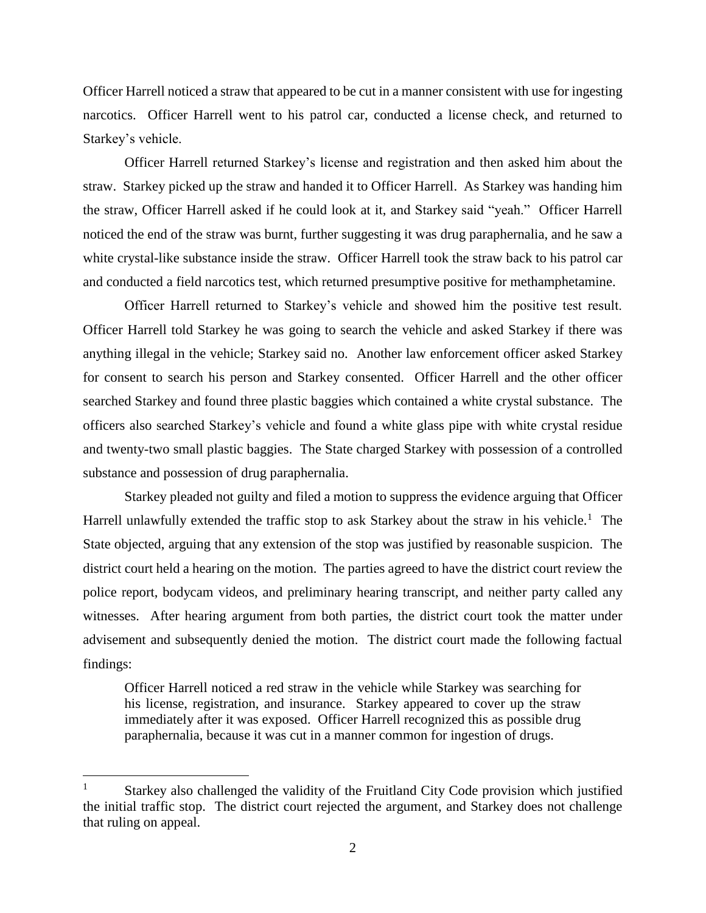Officer Harrell noticed a straw that appeared to be cut in a manner consistent with use for ingesting narcotics. Officer Harrell went to his patrol car, conducted a license check, and returned to Starkey's vehicle.

Officer Harrell returned Starkey's license and registration and then asked him about the straw. Starkey picked up the straw and handed it to Officer Harrell. As Starkey was handing him the straw, Officer Harrell asked if he could look at it, and Starkey said "yeah." Officer Harrell noticed the end of the straw was burnt, further suggesting it was drug paraphernalia, and he saw a white crystal-like substance inside the straw. Officer Harrell took the straw back to his patrol car and conducted a field narcotics test, which returned presumptive positive for methamphetamine.

Officer Harrell returned to Starkey's vehicle and showed him the positive test result. Officer Harrell told Starkey he was going to search the vehicle and asked Starkey if there was anything illegal in the vehicle; Starkey said no. Another law enforcement officer asked Starkey for consent to search his person and Starkey consented. Officer Harrell and the other officer searched Starkey and found three plastic baggies which contained a white crystal substance. The officers also searched Starkey's vehicle and found a white glass pipe with white crystal residue and twenty-two small plastic baggies. The State charged Starkey with possession of a controlled substance and possession of drug paraphernalia.

Starkey pleaded not guilty and filed a motion to suppress the evidence arguing that Officer Harrell unlawfully extended the traffic stop to ask Starkey about the straw in his vehicle.<sup>1</sup> The State objected, arguing that any extension of the stop was justified by reasonable suspicion. The district court held a hearing on the motion. The parties agreed to have the district court review the police report, bodycam videos, and preliminary hearing transcript, and neither party called any witnesses. After hearing argument from both parties, the district court took the matter under advisement and subsequently denied the motion. The district court made the following factual findings:

Officer Harrell noticed a red straw in the vehicle while Starkey was searching for his license, registration, and insurance. Starkey appeared to cover up the straw immediately after it was exposed. Officer Harrell recognized this as possible drug paraphernalia, because it was cut in a manner common for ingestion of drugs.

 $\overline{a}$ 

<sup>&</sup>lt;sup>1</sup> Starkey also challenged the validity of the Fruitland City Code provision which justified the initial traffic stop. The district court rejected the argument, and Starkey does not challenge that ruling on appeal.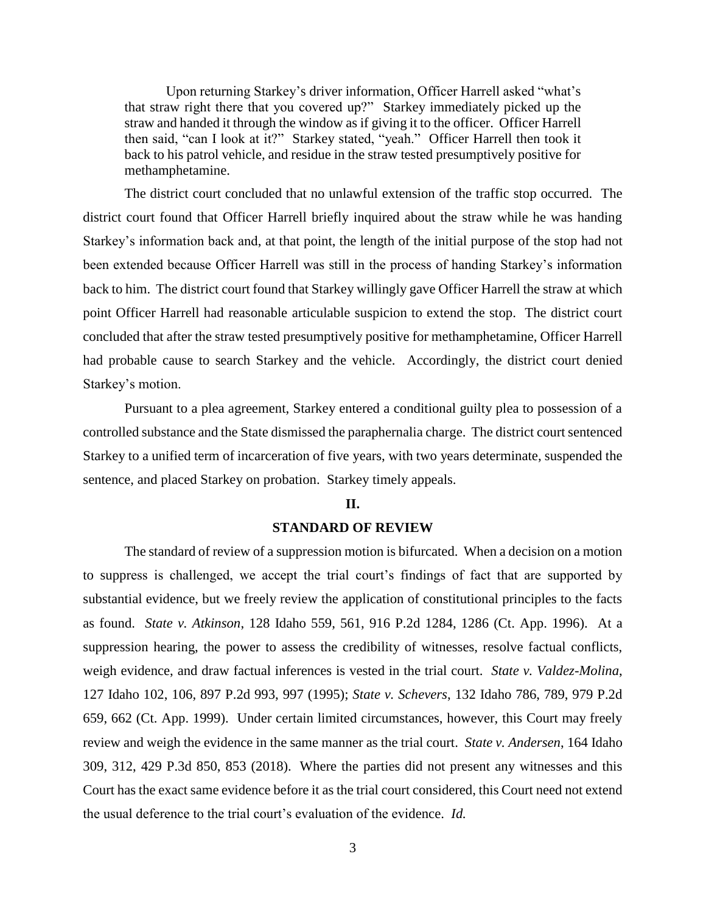Upon returning Starkey's driver information, Officer Harrell asked "what's that straw right there that you covered up?" Starkey immediately picked up the straw and handed it through the window as if giving it to the officer. Officer Harrell then said, "can I look at it?" Starkey stated, "yeah." Officer Harrell then took it back to his patrol vehicle, and residue in the straw tested presumptively positive for methamphetamine.

The district court concluded that no unlawful extension of the traffic stop occurred. The district court found that Officer Harrell briefly inquired about the straw while he was handing Starkey's information back and, at that point, the length of the initial purpose of the stop had not been extended because Officer Harrell was still in the process of handing Starkey's information back to him. The district court found that Starkey willingly gave Officer Harrell the straw at which point Officer Harrell had reasonable articulable suspicion to extend the stop. The district court concluded that after the straw tested presumptively positive for methamphetamine, Officer Harrell had probable cause to search Starkey and the vehicle. Accordingly, the district court denied Starkey's motion.

Pursuant to a plea agreement, Starkey entered a conditional guilty plea to possession of a controlled substance and the State dismissed the paraphernalia charge. The district court sentenced Starkey to a unified term of incarceration of five years, with two years determinate, suspended the sentence, and placed Starkey on probation. Starkey timely appeals.

#### **II.**

## **STANDARD OF REVIEW**

The standard of review of a suppression motion is bifurcated. When a decision on a motion to suppress is challenged, we accept the trial court's findings of fact that are supported by substantial evidence, but we freely review the application of constitutional principles to the facts as found. *State v. Atkinson*, 128 Idaho 559, 561, 916 P.2d 1284, 1286 (Ct. App. 1996). At a suppression hearing, the power to assess the credibility of witnesses, resolve factual conflicts, weigh evidence, and draw factual inferences is vested in the trial court. *State v. Valdez-Molina*, 127 Idaho 102, 106, 897 P.2d 993, 997 (1995); *State v. Schevers*, 132 Idaho 786, 789, 979 P.2d 659, 662 (Ct. App. 1999). Under certain limited circumstances, however, this Court may freely review and weigh the evidence in the same manner as the trial court. *State v. Andersen*, 164 Idaho 309, 312, 429 P.3d 850, 853 (2018). Where the parties did not present any witnesses and this Court has the exact same evidence before it as the trial court considered, this Court need not extend the usual deference to the trial court's evaluation of the evidence. *Id.*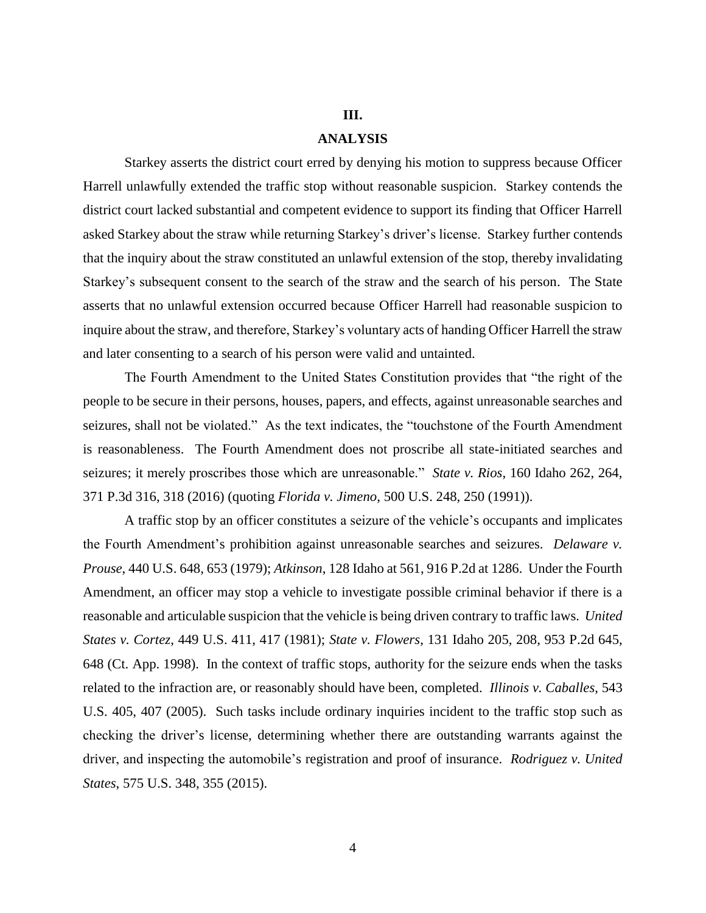# **III.**

#### **ANALYSIS**

Starkey asserts the district court erred by denying his motion to suppress because Officer Harrell unlawfully extended the traffic stop without reasonable suspicion. Starkey contends the district court lacked substantial and competent evidence to support its finding that Officer Harrell asked Starkey about the straw while returning Starkey's driver's license. Starkey further contends that the inquiry about the straw constituted an unlawful extension of the stop, thereby invalidating Starkey's subsequent consent to the search of the straw and the search of his person. The State asserts that no unlawful extension occurred because Officer Harrell had reasonable suspicion to inquire about the straw, and therefore, Starkey's voluntary acts of handing Officer Harrell the straw and later consenting to a search of his person were valid and untainted.

The Fourth Amendment to the United States Constitution provides that "the right of the people to be secure in their persons, houses, papers, and effects, against unreasonable searches and seizures, shall not be violated." As the text indicates, the "touchstone of the Fourth Amendment is reasonableness. The Fourth Amendment does not proscribe all state-initiated searches and seizures; it merely proscribes those which are unreasonable." *State v. Rios*, 160 Idaho 262, 264, 371 P.3d 316, 318 (2016) (quoting *Florida v. Jimeno*, 500 U.S. 248, 250 (1991)).

A traffic stop by an officer constitutes a seizure of the vehicle's occupants and implicates the Fourth Amendment's prohibition against unreasonable searches and seizures. *Delaware v. Prouse*, 440 U.S. 648, 653 (1979); *Atkinson*, 128 Idaho at 561, 916 P.2d at 1286. Under the Fourth Amendment, an officer may stop a vehicle to investigate possible criminal behavior if there is a reasonable and articulable suspicion that the vehicle is being driven contrary to traffic laws. *United States v. Cortez*, 449 U.S. 411, 417 (1981); *State v. Flowers*, 131 Idaho 205, 208, 953 P.2d 645, 648 (Ct. App. 1998). In the context of traffic stops, authority for the seizure ends when the tasks related to the infraction are, or reasonably should have been, completed. *Illinois v. Caballes*, 543 U.S. 405, 407 (2005). Such tasks include ordinary inquiries incident to the traffic stop such as checking the driver's license, determining whether there are outstanding warrants against the driver, and inspecting the automobile's registration and proof of insurance. *Rodriguez v. United States*, 575 U.S. 348, 355 (2015).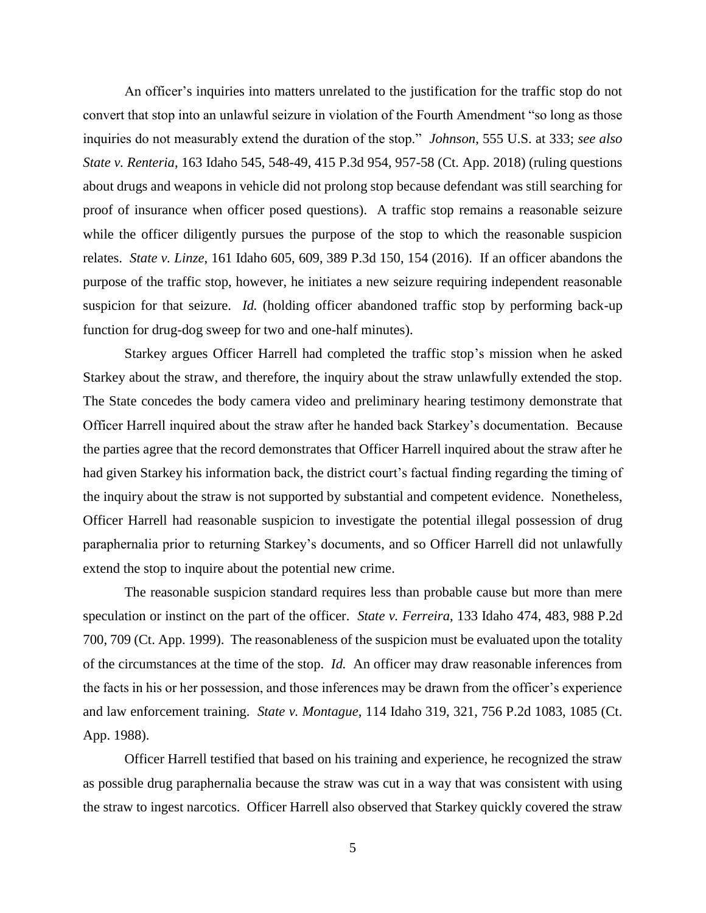An officer's inquiries into matters unrelated to the justification for the traffic stop do not convert that stop into an unlawful seizure in violation of the Fourth Amendment "so long as those inquiries do not measurably extend the duration of the stop." *Johnson*, 555 U.S. at 333; *see also State v. Renteria*, 163 Idaho 545, 548-49, 415 P.3d 954, 957-58 (Ct. App. 2018) (ruling questions about drugs and weapons in vehicle did not prolong stop because defendant was still searching for proof of insurance when officer posed questions). A traffic stop remains a reasonable seizure while the officer diligently pursues the purpose of the stop to which the reasonable suspicion relates. *State v. Linze*, 161 Idaho 605, 609, 389 P.3d 150, 154 (2016). If an officer abandons the purpose of the traffic stop, however, he initiates a new seizure requiring independent reasonable suspicion for that seizure. *Id.* (holding officer abandoned traffic stop by performing back-up function for drug-dog sweep for two and one-half minutes).

Starkey argues Officer Harrell had completed the traffic stop's mission when he asked Starkey about the straw, and therefore, the inquiry about the straw unlawfully extended the stop. The State concedes the body camera video and preliminary hearing testimony demonstrate that Officer Harrell inquired about the straw after he handed back Starkey's documentation. Because the parties agree that the record demonstrates that Officer Harrell inquired about the straw after he had given Starkey his information back, the district court's factual finding regarding the timing of the inquiry about the straw is not supported by substantial and competent evidence. Nonetheless, Officer Harrell had reasonable suspicion to investigate the potential illegal possession of drug paraphernalia prior to returning Starkey's documents, and so Officer Harrell did not unlawfully extend the stop to inquire about the potential new crime.

The reasonable suspicion standard requires less than probable cause but more than mere speculation or instinct on the part of the officer. *State v. Ferreira*, 133 Idaho 474, 483, 988 P.2d 700, 709 (Ct. App. 1999). The reasonableness of the suspicion must be evaluated upon the totality of the circumstances at the time of the stop. *Id.* An officer may draw reasonable inferences from the facts in his or her possession, and those inferences may be drawn from the officer's experience and law enforcement training. *State v. Montague*, 114 Idaho 319, 321, 756 P.2d 1083, 1085 (Ct. App. 1988).

Officer Harrell testified that based on his training and experience, he recognized the straw as possible drug paraphernalia because the straw was cut in a way that was consistent with using the straw to ingest narcotics. Officer Harrell also observed that Starkey quickly covered the straw